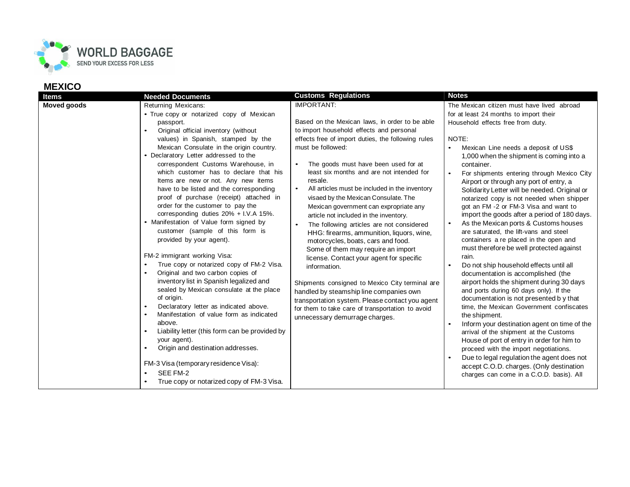

| <b>Items</b>       | <b>Needed Documents</b>                                                                                                                                                                                                                                                                                                                                                                                                                                                                                                                                                                                                                                                                                                                                                                                                                                                                                                                                                                                                                                                                                                                                                                          | <b>Customs Regulations</b>                                                                                                                                                                                                                                                                                                                                                                                                                                                                                                                                                                                                                                                                                                                                                                                                                                                                                                                                                  | <b>Notes</b>                                                                                                                                                                                                                                                                                                                                                                                                                                                                                                                                                                                                                                                                                                                                                                                                                                                                                                                                                                                                                                                                                                                                                                                                                                                                                                |
|--------------------|--------------------------------------------------------------------------------------------------------------------------------------------------------------------------------------------------------------------------------------------------------------------------------------------------------------------------------------------------------------------------------------------------------------------------------------------------------------------------------------------------------------------------------------------------------------------------------------------------------------------------------------------------------------------------------------------------------------------------------------------------------------------------------------------------------------------------------------------------------------------------------------------------------------------------------------------------------------------------------------------------------------------------------------------------------------------------------------------------------------------------------------------------------------------------------------------------|-----------------------------------------------------------------------------------------------------------------------------------------------------------------------------------------------------------------------------------------------------------------------------------------------------------------------------------------------------------------------------------------------------------------------------------------------------------------------------------------------------------------------------------------------------------------------------------------------------------------------------------------------------------------------------------------------------------------------------------------------------------------------------------------------------------------------------------------------------------------------------------------------------------------------------------------------------------------------------|-------------------------------------------------------------------------------------------------------------------------------------------------------------------------------------------------------------------------------------------------------------------------------------------------------------------------------------------------------------------------------------------------------------------------------------------------------------------------------------------------------------------------------------------------------------------------------------------------------------------------------------------------------------------------------------------------------------------------------------------------------------------------------------------------------------------------------------------------------------------------------------------------------------------------------------------------------------------------------------------------------------------------------------------------------------------------------------------------------------------------------------------------------------------------------------------------------------------------------------------------------------------------------------------------------------|
| <b>Moved goods</b> | <b>Returning Mexicans:</b><br>• True copy or notarized copy of Mexican<br>passport.<br>Original official inventory (without<br>values) in Spanish, stamped by the<br>Mexican Consulate in the origin country.<br>• Declaratory Letter addressed to the<br>correspondent Customs Warehouse, in<br>which customer has to declare that his<br>Items are new or not. Any new items<br>have to be listed and the corresponding<br>proof of purchase (receipt) attached in<br>order for the customer to pay the<br>corresponding duties $20\% + I.V.A$ 15%.<br>• Manifestation of Value form signed by<br>customer (sample of this form is<br>provided by your agent).<br>FM-2 immigrant working Visa:<br>True copy or notarized copy of FM-2 Visa.<br>Original and two carbon copies of<br>inventory list in Spanish legalized and<br>sealed by Mexican consulate at the place<br>of origin.<br>Declaratory letter as indicated above.<br>Manifestation of value form as indicated<br>above.<br>Liability letter (this form can be provided by<br>your agent).<br>Origin and destination addresses.<br>FM-3 Visa (temporary residence Visa):<br>SEE FM-2<br>True copy or notarized copy of FM-3 Visa. | <b>IMPORTANT:</b><br>Based on the Mexican laws, in order to be able<br>to import household effects and personal<br>effects free of import duties, the following rules<br>must be followed:<br>The goods must have been used for at<br>least six months and are not intended for<br>resale.<br>All articles must be included in the inventory<br>$\bullet$<br>visaed by the Mexican Consulate. The<br>Mexican government can expropriate any<br>article not included in the inventory.<br>The following articles are not considered<br>$\bullet$<br>HHG: firearms, ammunition, liquors, wine,<br>motorcycles, boats, cars and food.<br>Some of them may require an import<br>license. Contact your agent for specific<br>information.<br>Shipments consigned to Mexico City terminal are<br>handled by steamship line companies own<br>transportation system. Please contact you agent<br>for them to take care of transportation to avoid<br>unnecessary demurrage charges. | The Mexican citizen must have lived abroad<br>for at least 24 months to import their<br>Household effects free from duty.<br>NOTE:<br>Mexican Line needs a deposit of US\$<br>1,000 when the shipment is coming into a<br>container.<br>For shipments entering through Mexico City<br>Airport or through any port of entry, a<br>Solidarity Letter will be needed. Original or<br>notarized copy is not needed when shipper<br>got an FM-2 or FM-3 Visa and want to<br>import the goods after a period of 180 days.<br>As the Mexican ports & Customs houses<br>are saturated, the lift-vans and steel<br>containers a re placed in the open and<br>must therefore be well protected against<br>rain.<br>Do not ship household effects until all<br>documentation is accomplished (the<br>airport holds the shipment during 30 days<br>and ports during 60 days only). If the<br>documentation is not presented by that<br>time, the Mexican Government confiscates<br>the shipment.<br>Inform your destination agent on time of the<br>arrival of the shipment at the Customs<br>House of port of entry in order for him to<br>proceed with the import negotiations.<br>Due to legal regulation the agent does not<br>accept C.O.D. charges. (Only destination<br>charges can come in a C.O.D. basis). All |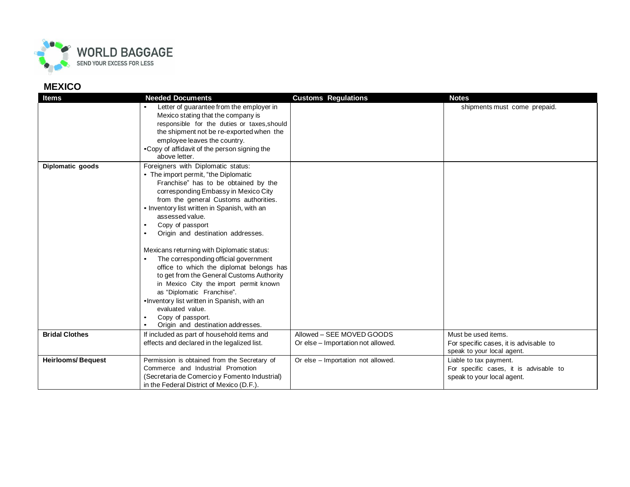

| <b>Items</b>             | <b>Needed Documents</b>                                         | <b>Customs Regulations</b>         | <b>Notes</b>                           |
|--------------------------|-----------------------------------------------------------------|------------------------------------|----------------------------------------|
|                          | Letter of guarantee from the employer in                        |                                    | shipments must come prepaid.           |
|                          | Mexico stating that the company is                              |                                    |                                        |
|                          | responsible for the duties or taxes, should                     |                                    |                                        |
|                          | the shipment not be re-exported when the                        |                                    |                                        |
|                          | employee leaves the country.                                    |                                    |                                        |
|                          | •Copy of affidavit of the person signing the                    |                                    |                                        |
|                          | above letter.                                                   |                                    |                                        |
| Diplomatic goods         | Foreigners with Diplomatic status:                              |                                    |                                        |
|                          | • The import permit, "the Diplomatic                            |                                    |                                        |
|                          | Franchise" has to be obtained by the                            |                                    |                                        |
|                          | corresponding Embassy in Mexico City                            |                                    |                                        |
|                          | from the general Customs authorities.                           |                                    |                                        |
|                          | • Inventory list written in Spanish, with an<br>assessed value. |                                    |                                        |
|                          | Copy of passport                                                |                                    |                                        |
|                          | Origin and destination addresses.<br>$\bullet$                  |                                    |                                        |
|                          |                                                                 |                                    |                                        |
|                          | Mexicans returning with Diplomatic status:                      |                                    |                                        |
|                          | The corresponding official government                           |                                    |                                        |
|                          | office to which the diplomat belongs has                        |                                    |                                        |
|                          | to get from the General Customs Authority                       |                                    |                                        |
|                          | in Mexico City the import permit known                          |                                    |                                        |
|                          | as "Diplomatic Franchise".                                      |                                    |                                        |
|                          | . Inventory list written in Spanish, with an                    |                                    |                                        |
|                          | evaluated value.                                                |                                    |                                        |
|                          | Copy of passport.<br>$\bullet$                                  |                                    |                                        |
|                          | Origin and destination addresses.                               |                                    |                                        |
| <b>Bridal Clothes</b>    | If included as part of household items and                      | Allowed - SEE MOVED GOODS          | Must be used items.                    |
|                          | effects and declared in the legalized list.                     | Or else - Importation not allowed. | For specific cases, it is advisable to |
|                          |                                                                 |                                    | speak to your local agent.             |
| <b>Heirlooms/Bequest</b> | Permission is obtained from the Secretary of                    | Or else - Importation not allowed. | Liable to tax payment.                 |
|                          | Commerce and Industrial Promotion                               |                                    | For specific cases, it is advisable to |
|                          | (Secretaria de Comercio y Fomento Industrial)                   |                                    | speak to your local agent.             |
|                          | in the Federal District of Mexico (D.F.).                       |                                    |                                        |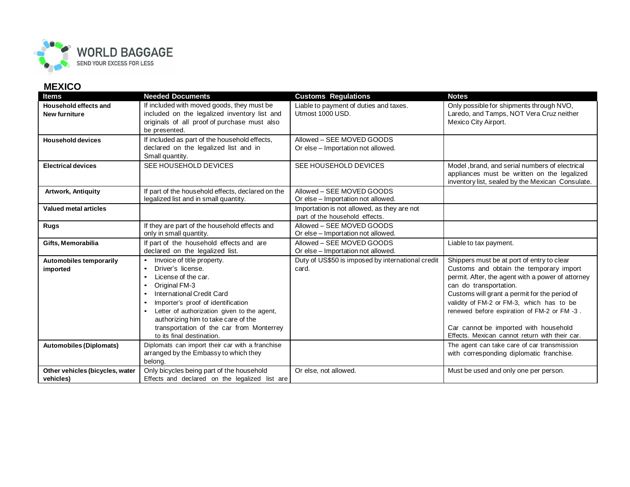

| <b>Items</b>                                  | <b>Needed Documents</b>                                                                                                                                                                                                                                                                                                                                                            | <b>Customs Regulations</b>                                                    | <b>Notes</b>                                                                                                                                                                                                                                                                                                                                                                                                |
|-----------------------------------------------|------------------------------------------------------------------------------------------------------------------------------------------------------------------------------------------------------------------------------------------------------------------------------------------------------------------------------------------------------------------------------------|-------------------------------------------------------------------------------|-------------------------------------------------------------------------------------------------------------------------------------------------------------------------------------------------------------------------------------------------------------------------------------------------------------------------------------------------------------------------------------------------------------|
| Household effects and<br><b>New furniture</b> | If included with moved goods, they must be<br>included on the legalized inventory list and<br>originals of all proof of purchase must also<br>be presented.                                                                                                                                                                                                                        | Liable to payment of duties and taxes.<br>Utmost 1000 USD.                    | Only possible for shipments through NVO,<br>Laredo, and Tamps, NOT Vera Cruz neither<br>Mexico City Airport.                                                                                                                                                                                                                                                                                                |
| <b>Household devices</b>                      | If included as part of the household effects,<br>declared on the legalized list and in<br>Small quantity.                                                                                                                                                                                                                                                                          | Allowed - SEE MOVED GOODS<br>Or else - Importation not allowed.               |                                                                                                                                                                                                                                                                                                                                                                                                             |
| <b>Electrical devices</b>                     | SEE HOUSEHOLD DEVICES                                                                                                                                                                                                                                                                                                                                                              | SEE HOUSEHOLD DEVICES                                                         | Model, brand, and serial numbers of electrical<br>appliances must be written on the legalized<br>inventory list, sealed by the Mexican Consulate.                                                                                                                                                                                                                                                           |
| Artwork, Antiquity                            | If part of the household effects, declared on the<br>legalized list and in small quantity.                                                                                                                                                                                                                                                                                         | Allowed - SEE MOVED GOODS<br>Or else - Importation not allowed.               |                                                                                                                                                                                                                                                                                                                                                                                                             |
| <b>Valued metal articles</b>                  |                                                                                                                                                                                                                                                                                                                                                                                    | Importation is not allowed, as they are not<br>part of the household effects. |                                                                                                                                                                                                                                                                                                                                                                                                             |
| <b>Rugs</b>                                   | If they are part of the household effects and<br>only in small quantity.                                                                                                                                                                                                                                                                                                           | Allowed - SEE MOVED GOODS<br>Or else - Importation not allowed.               |                                                                                                                                                                                                                                                                                                                                                                                                             |
| Gifts, Memorabilia                            | If part of the household effects and are<br>declared on the legalized list.                                                                                                                                                                                                                                                                                                        | Allowed - SEE MOVED GOODS<br>Or else - Importation not allowed.               | Liable to tax payment.                                                                                                                                                                                                                                                                                                                                                                                      |
| Automobiles temporarily<br>imported           | Invoice of title property.<br>Driver's license.<br>License of the car.<br>$\bullet$<br>Original FM-3<br>$\bullet$<br>International Credit Card<br>$\bullet$<br>Importer's proof of identification<br>$\bullet$<br>Letter of authorization given to the agent,<br>٠<br>authorizing him to take care of the<br>transportation of the car from Monterrey<br>to its final destination. | Duty of US\$50 is imposed by international credit<br>card.                    | Shippers must be at port of entry to clear<br>Customs and obtain the temporary import<br>permit. After, the agent with a power of attorney<br>can do transportation.<br>Customs will grant a permit for the period of<br>validity of FM-2 or FM-3, which has to be<br>renewed before expiration of FM-2 or FM-3.<br>Car cannot be imported with household<br>Effects. Mexican cannot return with their car. |
| <b>Automobiles (Diplomats)</b>                | Diplomats can import their car with a franchise<br>arranged by the Embassy to which they<br>belong.                                                                                                                                                                                                                                                                                |                                                                               | The agent can take care of car transmission<br>with corresponding diplomatic franchise.                                                                                                                                                                                                                                                                                                                     |
| Other vehicles (bicycles, water<br>vehicles)  | Only bicycles being part of the household<br>Effects and declared on the legalized list are                                                                                                                                                                                                                                                                                        | Or else, not allowed.                                                         | Must be used and only one per person.                                                                                                                                                                                                                                                                                                                                                                       |